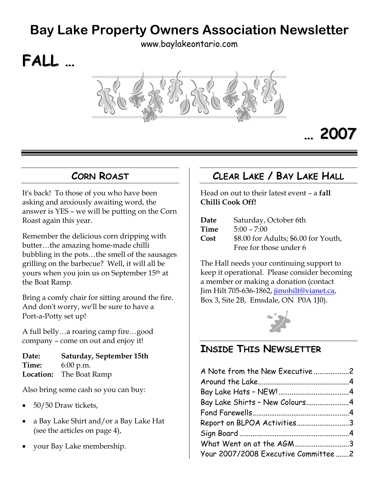# **Bay Lake Property Owners Association Newsletter**

[www.baylakeontario.com](http://www.baylakeontario.com/)



# **… 2007**

### **CORN ROAST**

**FALL …**

<span id="page-0-0"></span>It's back! To those of you who have been asking and anxiously awaiting word, the answer is YES – we will be putting on the Corn Roast again this year.

Remember the delicious corn dripping with butter…the amazing home-made chilli bubbling in the pots…the smell of the sausages grilling on the barbecue? Well, it will all be yours when you join us on September 15th at the Boat Ramp.

Bring a comfy chair for sitting around the fire. And don't worry, we'll be sure to have a Port-a-Potty set up!

A full belly…a roaring camp fire…good company – come on out and enjoy it!

**Date: Saturday, September 15th Time:** 6:00 p.m. **Location:** The Boat Ramp

Also bring some cash so you can buy:

- 50/50 Draw tickets,
- a Bay Lake Shirt and/or a Bay Lake Hat (see the articles on page [4](#page-3-0)),
- your Bay Lake membership.

# **CLEAR LAKE / BAY LAKE HALL**

Head on out to their latest event – a **fall Chilli Cook Off!** 

| Date | Saturday, October 6th                                          |
|------|----------------------------------------------------------------|
| Time | $5:00 - 7:00$                                                  |
| Cost | \$8.00 for Adults; \$6.00 for Youth,<br>Free for those under 6 |
|      |                                                                |

The Hall needs your continuing support to keep it operational. Please consider becoming a member or making a donation (contact Jim Hilt 705-636-1862, [jimohilt@vianet.ca](mailto:jimohilt@vianet.ca), Box 3, Site 2B, Emsdale, ON P0A 1J0).



# **INSIDE THIS NEWSLETTER**

| A Note from the New Executive 2      |  |
|--------------------------------------|--|
|                                      |  |
|                                      |  |
| Bay Lake Shirts - New Colours4       |  |
|                                      |  |
| Report on BLPOA Activities3          |  |
|                                      |  |
| What Went on at the AGM 3            |  |
| Your 2007/2008 Executive Committee 2 |  |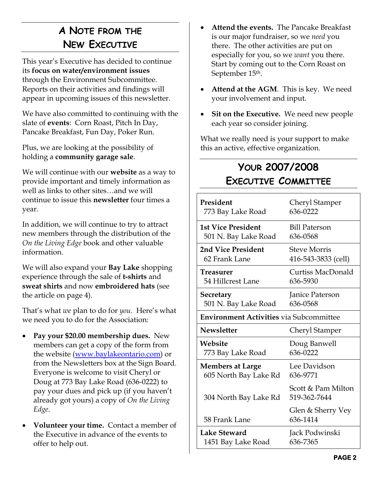# **A NOTE FROM THE NEW EXECUTIVE**

<span id="page-1-0"></span>This year's Executive has decided to continue its **focus on water/environment issues** through the Environment Subcommittee. Reports on their activities and findings will appear in upcoming issues of this newsletter.

We have also committed to continuing with the slate of **events**: Corn Roast, Pitch In Day, Pancake Breakfast, Fun Day, Poker Run.

Plus, we are looking at the possibility of holding a **community garage sale**.

<span id="page-1-1"></span>We will continue with our **website** as a way to provide important and timely information as well as links to other sites…and we will continue to issue this **newsletter** four times a year.

In addition, we will continue to try to attract new members through the distribution of the *On the Living Edge* book and other valuable information.

We will also expand your **Bay Lake** shopping experience through the sale of **t-shirts** and **sweat shirts** and now **embroidered hats** (see the article on page [4](#page-3-0)).

That's what *we* plan to do for *you*. Here's what we need you to do for the Association:

- **Pay your \$20.00 membership dues.** New members can get a copy of the form from the website [\(www.baylakeontario.com](http://www.baylakeontario.com/)) or from the Newsletters box at the Sign Board. Everyone is welcome to visit Cheryl or Doug at 773 Bay Lake Road (636-0222) to pay your dues and pick up (if you haven't already got yours) a copy of *On the Living Edge*.
- **Volunteer your time.** Contact a member of the Executive in advance of the events to offer to help out.
- **Attend the events.** The Pancake Breakfast is our major fundraiser, so we *need* you there. The other activities are put on especially for you, so we *want* you there. Start by coming out to the Corn Roast on September 15th.
- **Attend at the AGM**. This is key. We need your involvement and input.
- Sit on the Executive. We need new people each year so consider joining.

What we really need is your support to make this an active, effective organization.

# **YOUR 2007/2008 EXECUTIVE COMMITTEE**

| President                                      | Cheryl Stamper                     |  |  |
|------------------------------------------------|------------------------------------|--|--|
| 773 Bay Lake Road                              | 636-0222                           |  |  |
| <b>1st Vice President</b>                      | <b>Bill Paterson</b>               |  |  |
| 501 N. Bay Lake Road                           | 636-0568                           |  |  |
| 2nd Vice President                             | <b>Steve Morris</b>                |  |  |
| 62 Frank Lane                                  | 416-543-3833 (cell)                |  |  |
| Treasurer                                      | <b>Curtiss MacDonald</b>           |  |  |
| 54 Hillcrest Lane                              | 636-5930                           |  |  |
| <b>Secretary</b>                               | Janice Paterson                    |  |  |
| 501 N. Bay Lake Road                           | 636-0568                           |  |  |
| <b>Environment Activities via Subcommittee</b> |                                    |  |  |
| <b>Newsletter</b>                              | Cheryl Stamper                     |  |  |
| Website                                        | Doug Banwell                       |  |  |
| 773 Bay Lake Road                              | 636-0222                           |  |  |
| <b>Members at Large</b>                        | Lee Davidson                       |  |  |
| 605 North Bay Lake Rd                          | 636-9771                           |  |  |
| 304 North Bay Lake Rd                          | Scott & Pam Milton<br>519-362-7644 |  |  |
| 58 Frank Lane                                  | Glen & Sherry Vey<br>636-1414      |  |  |
| Lake Steward                                   | Jack Podwinski                     |  |  |
| 1451 Bay Lake Road                             | 636-7365                           |  |  |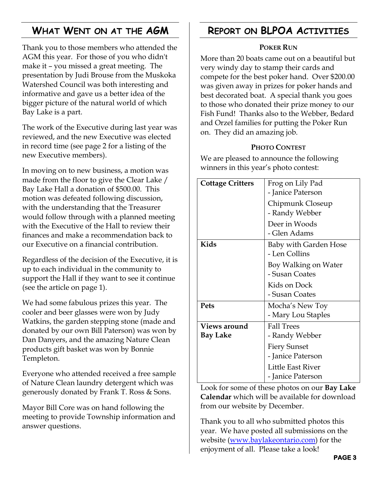# **WHAT WENT ON AT THE AGM**

<span id="page-2-0"></span>Thank you to those members who attended the AGM this year. For those of you who didn't make it – you missed a great meeting. The presentation by Judi Brouse from the Muskoka Watershed Council was both interesting and informative and gave us a better idea of the bigger picture of the natural world of which Bay Lake is a part.

The work of the Executive during last year was reviewed, and the new Executive was elected in record time (see page [2](#page-1-1) for a listing of the new Executive members).

In moving on to new business, a motion was made from the floor to give the Clear Lake / Bay Lake Hall a donation of \$500.00. This motion was defeated following discussion, with the understanding that the Treasurer would follow through with a planned meeting with the Executive of the Hall to review their finances and make a recommendation back to our Executive on a financial contribution.

Regardless of the decision of the Executive, it is up to each individual in the community to support the Hall if they want to see it continue (see the article on page [1](#page-0-0)).

We had some fabulous prizes this year. The cooler and beer glasses were won by Judy Watkins, the garden stepping stone (made and donated by our own Bill Paterson) was won by Dan Danyers, and the amazing Nature Clean products gift basket was won by Bonnie Templeton.

Everyone who attended received a free sample of Nature Clean laundry detergent which was generously donated by Frank T. Ross & Sons.

Mayor Bill Core was on hand following the meeting to provide Township information and answer questions.

### **REPORT ON BLPOA ACTIVITIES**

#### **POKER RUN**

More than 20 boats came out on a beautiful but very windy day to stamp their cards and compete for the best poker hand. Over \$200.00 was given away in prizes for poker hands and best decorated boat. A special thank you goes to those who donated their prize money to our Fish Fund! Thanks also to the Webber, Bedard and Orzel families for putting the Poker Run on. They did an amazing job.

#### **PHOTO CONTEST**

We are pleased to announce the following winners in this year's photo contest:

| <b>Cottage Critters</b>  | Frog on Lily Pad<br>- Janice Paterson         |  |
|--------------------------|-----------------------------------------------|--|
|                          | Chipmunk Closeup<br>- Randy Webber            |  |
|                          | Deer in Woods<br>- Glen Adams                 |  |
| Kids                     | <b>Baby with Garden Hose</b><br>- Len Collins |  |
|                          | Boy Walking on Water<br>- Susan Coates        |  |
|                          | Kids on Dock<br>- Susan Coates                |  |
| Pets                     | Mocha's New Toy<br>- Mary Lou Staples         |  |
| Views around<br>Bay Lake | <b>Fall Trees</b><br>- Randy Webber           |  |
|                          | <b>Fiery Sunset</b><br>- Janice Paterson      |  |
|                          | Little East River<br>- Janice Paterson        |  |

Look for some of these photos on our **Bay Lake Calendar** which will be available for download from our website by December.

Thank you to all who submitted photos this year. We have posted all submissions on the website ([www.baylakeontario.com\)](http://www.baylakeontario.com/) for the enjoyment of all. Please take a look!